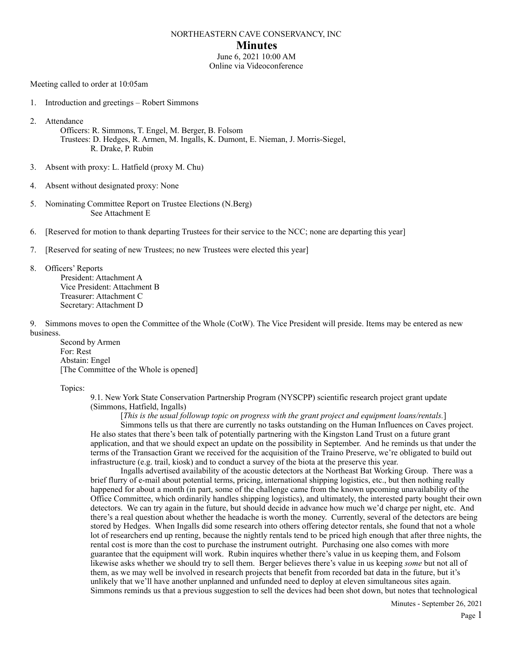### NORTHEASTERN CAVE CONSERVANCY, INC

### **Minutes**

June 6, 2021 10:00 AM Online via Videoconference

Meeting called to order at 10:05am

1. Introduction and greetings – Robert Simmons

2. Attendance

 Officers: R. Simmons, T. Engel, M. Berger, B. Folsom Trustees: D. Hedges, R. Armen, M. Ingalls, K. Dumont, E. Nieman, J. Morris-Siegel, R. Drake, P. Rubin

- 3. Absent with proxy: L. Hatfield (proxy M. Chu)
- 4. Absent without designated proxy: None
- 5. Nominating Committee Report on Trustee Elections (N.Berg) See Attachment E
- 6. [Reserved for motion to thank departing Trustees for their service to the NCC; none are departing this year]

7. [Reserved for seating of new Trustees; no new Trustees were elected this year]

8. Officers' Reports President: Attachment A Vice President: Attachment B Treasurer: Attachment C Secretary: Attachment D

9. Simmons moves to open the Committee of the Whole (CotW). The Vice President will preside. Items may be entered as new business.

 Second by Armen For: Rest Abstain: Engel [The Committee of the Whole is opened]

Topics:

9.1. New York State Conservation Partnership Program (NYSCPP) scientific research project grant update (Simmons, Hatfield, Ingalls)

 [*This is the usual followup topic on progress with the grant project and equipment loans/rentals.*] Simmons tells us that there are currently no tasks outstanding on the Human Influences on Caves project. He also states that there's been talk of potentially partnering with the Kingston Land Trust on a future grant application, and that we should expect an update on the possibility in September. And he reminds us that under the terms of the Transaction Grant we received for the acquisition of the Traino Preserve, we're obligated to build out infrastructure (e.g. trail, kiosk) and to conduct a survey of the biota at the preserve this year.

 Ingalls advertised availability of the acoustic detectors at the Northeast Bat Working Group. There was a brief flurry of e-mail about potential terms, pricing, international shipping logistics, etc., but then nothing really happened for about a month (in part, some of the challenge came from the known upcoming unavailability of the Office Committee, which ordinarily handles shipping logistics), and ultimately, the interested party bought their own detectors. We can try again in the future, but should decide in advance how much we'd charge per night, etc. And there's a real question about whether the headache is worth the money. Currently, several of the detectors are being stored by Hedges. When Ingalls did some research into others offering detector rentals, she found that not a whole lot of researchers end up renting, because the nightly rentals tend to be priced high enough that after three nights, the rental cost is more than the cost to purchase the instrument outright. Purchasing one also comes with more guarantee that the equipment will work. Rubin inquires whether there's value in us keeping them, and Folsom likewise asks whether we should try to sell them. Berger believes there's value in us keeping *some* but not all of them, as we may well be involved in research projects that benefit from recorded bat data in the future, but it's unlikely that we'll have another unplanned and unfunded need to deploy at eleven simultaneous sites again. Simmons reminds us that a previous suggestion to sell the devices had been shot down, but notes that technological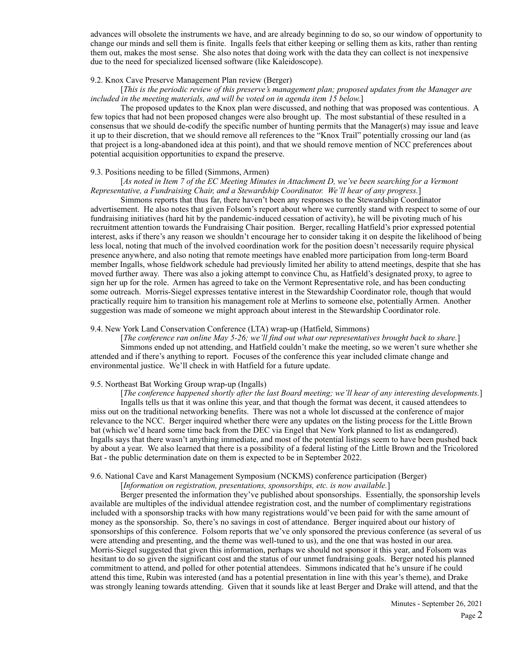advances will obsolete the instruments we have, and are already beginning to do so, so our window of opportunity to change our minds and sell them is finite. Ingalls feels that either keeping or selling them as kits, rather than renting them out, makes the most sense. She also notes that doing work with the data they can collect is not inexpensive due to the need for specialized licensed software (like Kaleidoscope).

#### 9.2. Knox Cave Preserve Management Plan review (Berger)

# [*This is the periodic review of this preserve's management plan; proposed updates from the Manager are included in the meeting materials, and will be voted on in agenda item 15 below.*]

 The proposed updates to the Knox plan were discussed, and nothing that was proposed was contentious. A few topics that had not been proposed changes were also brought up. The most substantial of these resulted in a consensus that we should de-codify the specific number of hunting permits that the Manager(s) may issue and leave it up to their discretion, that we should remove all references to the "Knox Trail" potentially crossing our land (as that project is a long-abandoned idea at this point), and that we should remove mention of NCC preferences about potential acquisition opportunities to expand the preserve.

### 9.3. Positions needing to be filled (Simmons, Armen)

### [*As noted in Item 7 of the EC Meeting Minutes in Attachment D, we've been searching for a Vermont Representative, a Fundraising Chair, and a Stewardship Coordinator. We'll hear of any progress.*]

 Simmons reports that thus far, there haven't been any responses to the Stewardship Coordinator advertisement. He also notes that given Folsom's report about where we currently stand with respect to some of our fundraising initiatives (hard hit by the pandemic-induced cessation of activity), he will be pivoting much of his recruitment attention towards the Fundraising Chair position. Berger, recalling Hatfield's prior expressed potential interest, asks if there's any reason we shouldn't encourage her to consider taking it on despite the likelihood of being less local, noting that much of the involved coordination work for the position doesn't necessarily require physical presence anywhere, and also noting that remote meetings have enabled more participation from long-term Board member Ingalls, whose fieldwork schedule had previously limited her ability to attend meetings, despite that she has moved further away. There was also a joking attempt to convince Chu, as Hatfield's designated proxy, to agree to sign her up for the role. Armen has agreed to take on the Vermont Representative role, and has been conducting some outreach. Morris-Siegel expresses tentative interest in the Stewardship Coordinator role, though that would practically require him to transition his management role at Merlins to someone else, potentially Armen. Another suggestion was made of someone we might approach about interest in the Stewardship Coordinator role.

#### 9.4. New York Land Conservation Conference (LTA) wrap-up (Hatfield, Simmons)

 [*The conference ran online May 5-26; we'll find out what our representatives brought back to share.*] Simmons ended up not attending, and Hatfield couldn't make the meeting, so we weren't sure whether she attended and if there's anything to report. Focuses of the conference this year included climate change and environmental justice. We'll check in with Hatfield for a future update.

#### 9.5. Northeast Bat Working Group wrap-up (Ingalls)

 [*The conference happened shortly after the last Board meeting; we'll hear of any interesting developments.*] Ingalls tells us that it was online this year, and that though the format was decent, it caused attendees to miss out on the traditional networking benefits. There was not a whole lot discussed at the conference of major relevance to the NCC. Berger inquired whether there were any updates on the listing process for the Little Brown bat (which we'd heard some time back from the DEC via Engel that New York planned to list as endangered). Ingalls says that there wasn't anything immediate, and most of the potential listings seem to have been pushed back by about a year. We also learned that there is a possibility of a federal listing of the Little Brown and the Tricolored Bat - the public determination date on them is expected to be in September 2022.

### 9.6. National Cave and Karst Management Symposium (NCKMS) conference participation (Berger)

#### [*Information on registration, presentations, sponsorships, etc. is now available.*]

 Berger presented the information they've published about sponsorships. Essentially, the sponsorship levels available are multiples of the individual attendee registration cost, and the number of complimentary registrations included with a sponsorship tracks with how many registrations would've been paid for with the same amount of money as the sponsorship. So, there's no savings in cost of attendance. Berger inquired about our history of sponsorships of this conference. Folsom reports that we've only sponsored the previous conference (as several of us were attending and presenting, and the theme was well-tuned to us), and the one that was hosted in our area. Morris-Siegel suggested that given this information, perhaps we should not sponsor it this year, and Folsom was hesitant to do so given the significant cost and the status of our unmet fundraising goals. Berger noted his planned commitment to attend, and polled for other potential attendees. Simmons indicated that he's unsure if he could attend this time, Rubin was interested (and has a potential presentation in line with this year's theme), and Drake was strongly leaning towards attending. Given that it sounds like at least Berger and Drake will attend, and that the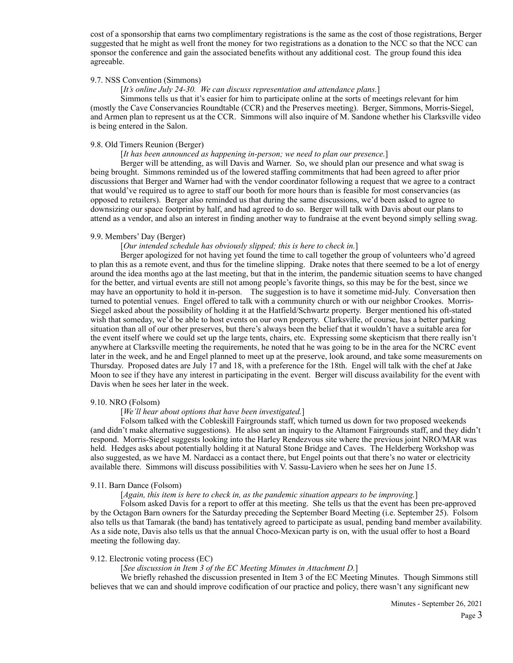cost of a sponsorship that earns two complimentary registrations is the same as the cost of those registrations, Berger suggested that he might as well front the money for two registrations as a donation to the NCC so that the NCC can sponsor the conference and gain the associated benefits without any additional cost. The group found this idea agreeable.

### 9.7. NSS Convention (Simmons)

### [*It's online July 24-30. We can discuss representation and attendance plans.*]

 Simmons tells us that it's easier for him to participate online at the sorts of meetings relevant for him (mostly the Cave Conservancies Roundtable (CCR) and the Preserves meeting). Berger, Simmons, Morris-Siegel, and Armen plan to represent us at the CCR. Simmons will also inquire of M. Sandone whether his Clarksville video is being entered in the Salon.

#### 9.8. Old Timers Reunion (Berger)

# [*It has been announced as happening in-person; we need to plan our presence.*]

 Berger will be attending, as will Davis and Warner. So, we should plan our presence and what swag is being brought. Simmons reminded us of the lowered staffing commitments that had been agreed to after prior discussions that Berger and Warner had with the vendor coordinator following a request that we agree to a contract that would've required us to agree to staff our booth for more hours than is feasible for most conservancies (as opposed to retailers). Berger also reminded us that during the same discussions, we'd been asked to agree to downsizing our space footprint by half, and had agreed to do so. Berger will talk with Davis about our plans to attend as a vendor, and also an interest in finding another way to fundraise at the event beyond simply selling swag.

#### 9.9. Members' Day (Berger)

### [*Our intended schedule has obviously slipped; this is here to check in.*]

 Berger apologized for not having yet found the time to call together the group of volunteers who'd agreed to plan this as a remote event, and thus for the timeline slipping. Drake notes that there seemed to be a lot of energy around the idea months ago at the last meeting, but that in the interim, the pandemic situation seems to have changed for the better, and virtual events are still not among people's favorite things, so this may be for the best, since we may have an opportunity to hold it in-person. The suggestion is to have it sometime mid-July. Conversation then turned to potential venues. Engel offered to talk with a community church or with our neighbor Crookes. Morris-Siegel asked about the possibility of holding it at the Hatfield/Schwartz property. Berger mentioned his oft-stated wish that someday, we'd be able to host events on our own property. Clarksville, of course, has a better parking situation than all of our other preserves, but there's always been the belief that it wouldn't have a suitable area for the event itself where we could set up the large tents, chairs, etc. Expressing some skepticism that there really isn't anywhere at Clarksville meeting the requirements, he noted that he was going to be in the area for the NCRC event later in the week, and he and Engel planned to meet up at the preserve, look around, and take some measurements on Thursday. Proposed dates are July 17 and 18, with a preference for the 18th. Engel will talk with the chef at Jake Moon to see if they have any interest in participating in the event. Berger will discuss availability for the event with Davis when he sees her later in the week.

#### 9.10. NRO (Folsom)

### [*We'll hear about options that have been investigated.*]

 Folsom talked with the Cobleskill Fairgrounds staff, which turned us down for two proposed weekends (and didn't make alternative suggestions). He also sent an inquiry to the Altamont Fairgrounds staff, and they didn't respond. Morris-Siegel suggests looking into the Harley Rendezvous site where the previous joint NRO/MAR was held. Hedges asks about potentially holding it at Natural Stone Bridge and Caves. The Helderberg Workshop was also suggested, as we have M. Nardacci as a contact there, but Engel points out that there's no water or electricity available there. Simmons will discuss possibilities with V. Sassu-Laviero when he sees her on June 15.

#### 9.11. Barn Dance (Folsom)

### [*Again, this item is here to check in, as the pandemic situation appears to be improving.*]

 Folsom asked Davis for a report to offer at this meeting. She tells us that the event has been pre-approved by the Octagon Barn owners for the Saturday preceding the September Board Meeting (i.e. September 25). Folsom also tells us that Tamarak (the band) has tentatively agreed to participate as usual, pending band member availability. As a side note, Davis also tells us that the annual Choco-Mexican party is on, with the usual offer to host a Board meeting the following day.

#### 9.12. Electronic voting process (EC)

### [*See discussion in Item 3 of the EC Meeting Minutes in Attachment D.*]

 We briefly rehashed the discussion presented in Item 3 of the EC Meeting Minutes. Though Simmons still believes that we can and should improve codification of our practice and policy, there wasn't any significant new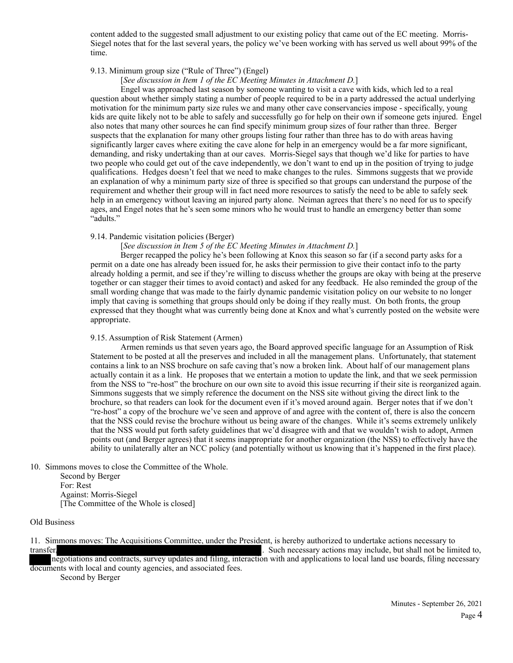content added to the suggested small adjustment to our existing policy that came out of the EC meeting. Morris-Siegel notes that for the last several years, the policy we've been working with has served us well about 99% of the time.

#### 9.13. Minimum group size ("Rule of Three") (Engel)

[*See discussion in Item 1 of the EC Meeting Minutes in Attachment D.*]

 Engel was approached last season by someone wanting to visit a cave with kids, which led to a real question about whether simply stating a number of people required to be in a party addressed the actual underlying motivation for the minimum party size rules we and many other cave conservancies impose - specifically, young kids are quite likely not to be able to safely and successfully go for help on their own if someone gets injured. Engel also notes that many other sources he can find specify minimum group sizes of four rather than three. Berger suspects that the explanation for many other groups listing four rather than three has to do with areas having significantly larger caves where exiting the cave alone for help in an emergency would be a far more significant, demanding, and risky undertaking than at our caves. Morris-Siegel says that though we'd like for parties to have two people who could get out of the cave independently, we don't want to end up in the position of trying to judge qualifications. Hedges doesn't feel that we need to make changes to the rules. Simmons suggests that we provide an explanation of why a minimum party size of three is specified so that groups can understand the purpose of the requirement and whether their group will in fact need more resources to satisfy the need to be able to safely seek help in an emergency without leaving an injured party alone. Neiman agrees that there's no need for us to specify ages, and Engel notes that he's seen some minors who he would trust to handle an emergency better than some "adults."

#### 9.14. Pandemic visitation policies (Berger)

### [*See discussion in Item 5 of the EC Meeting Minutes in Attachment D.*]

 Berger recapped the policy he's been following at Knox this season so far (if a second party asks for a permit on a date one has already been issued for, he asks their permission to give their contact info to the party already holding a permit, and see if they're willing to discuss whether the groups are okay with being at the preserve together or can stagger their times to avoid contact) and asked for any feedback. He also reminded the group of the small wording change that was made to the fairly dynamic pandemic visitation policy on our website to no longer imply that caving is something that groups should only be doing if they really must. On both fronts, the group expressed that they thought what was currently being done at Knox and what's currently posted on the website were appropriate.

#### 9.15. Assumption of Risk Statement (Armen)

 Armen reminds us that seven years ago, the Board approved specific language for an Assumption of Risk Statement to be posted at all the preserves and included in all the management plans. Unfortunately, that statement contains a link to an NSS brochure on safe caving that's now a broken link. About half of our management plans actually contain it as a link. He proposes that we entertain a motion to update the link, and that we seek permission from the NSS to "re-host" the brochure on our own site to avoid this issue recurring if their site is reorganized again. Simmons suggests that we simply reference the document on the NSS site without giving the direct link to the brochure, so that readers can look for the document even if it's moved around again. Berger notes that if we don't "re-host" a copy of the brochure we've seen and approve of and agree with the content of, there is also the concern that the NSS could revise the brochure without us being aware of the changes. While it's seems extremely unlikely that the NSS would put forth safety guidelines that we'd disagree with and that we wouldn't wish to adopt, Armen points out (and Berger agrees) that it seems inappropriate for another organization (the NSS) to effectively have the ability to unilaterally alter an NCC policy (and potentially without us knowing that it's happened in the first place).

10. Simmons moves to close the Committee of the Whole.

 Second by Berger For: Rest Against: Morris-Siegel [The Committee of the Whole is closed]

#### Old Business

11. Simmons moves: The Acquisitions Committee, under the President, is hereby authorized to undertake actions necessary to transfer, the such necessary actions may include, but shall not be limited to,

negotiations and contracts, survey updates and filing, interaction with and applications to local land use boards, filing necessary documents with local and county agencies, and associated fees.

Second by Berger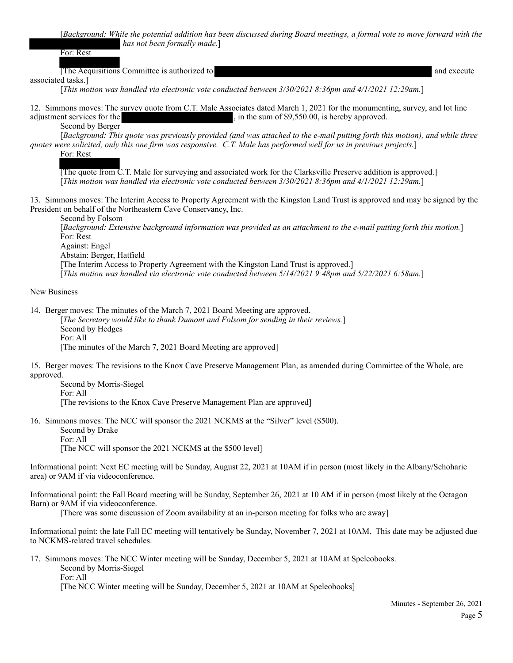[*Background: While the potential addition has been discussed during Board meetings, a formal vote to move forward with the has not been formally made.*]

For: Rest

[The Acquisitions Committee is authorized to and execute

associated tasks.]

[*This motion was handled via electronic vote conducted between 3/30/2021 8:36pm and 4/1/2021 12:29am.*]

12. Simmons moves: The survey quote from C.T. Male Associates dated March 1, 2021 for the monumenting, survey, and lot line adjustment services for the , in the sum of \$9,550.00, is hereby approved. Second by Berger

 [*Background: This quote was previously provided (and was attached to the e-mail putting forth this motion), and while three quotes were solicited, only this one firm was responsive. C.T. Male has performed well for us in previous projects.*]

For: Rest

 [The quote from C.T. Male for surveying and associated work for the Clarksville Preserve addition is approved.] [*This motion was handled via electronic vote conducted between 3/30/2021 8:36pm and 4/1/2021 12:29am.*]

13. Simmons moves: The Interim Access to Property Agreement with the Kingston Land Trust is approved and may be signed by the President on behalf of the Northeastern Cave Conservancy, Inc.

 Second by Folsom [*Background: Extensive background information was provided as an attachment to the e-mail putting forth this motion.*] For: Rest Against: Engel Abstain: Berger, Hatfield [The Interim Access to Property Agreement with the Kingston Land Trust is approved.] [*This motion was handled via electronic vote conducted between 5/14/2021 9:48pm and 5/22/2021 6:58am.*]

New Business

14. Berger moves: The minutes of the March 7, 2021 Board Meeting are approved. [*The Secretary would like to thank Dumont and Folsom for sending in their reviews.*]

 Second by Hedges For: All

[The minutes of the March 7, 2021 Board Meeting are approved]

15. Berger moves: The revisions to the Knox Cave Preserve Management Plan, as amended during Committee of the Whole, are approved.

 Second by Morris-Siegel For: All [The revisions to the Knox Cave Preserve Management Plan are approved]

16. Simmons moves: The NCC will sponsor the 2021 NCKMS at the "Silver" level (\$500). Second by Drake For: All [The NCC will sponsor the 2021 NCKMS at the \$500 level]

Informational point: Next EC meeting will be Sunday, August 22, 2021 at 10AM if in person (most likely in the Albany/Schoharie area) or 9AM if via videoconference.

Informational point: the Fall Board meeting will be Sunday, September 26, 2021 at 10 AM if in person (most likely at the Octagon Barn) or 9AM if via videoconference.

[There was some discussion of Zoom availability at an in-person meeting for folks who are away]

Informational point: the late Fall EC meeting will tentatively be Sunday, November 7, 2021 at 10AM. This date may be adjusted due to NCKMS-related travel schedules.

17. Simmons moves: The NCC Winter meeting will be Sunday, December 5, 2021 at 10AM at Speleobooks. Second by Morris-Siegel For: All

[The NCC Winter meeting will be Sunday, December 5, 2021 at 10AM at Speleobooks]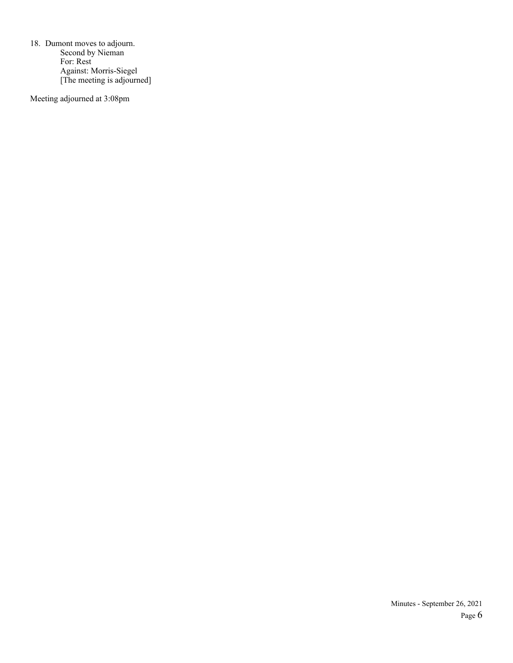18. Dumont moves to adjourn. Second by Nieman For: Rest Against: Morris-Siegel [The meeting is adjourned]

Meeting adjourned at 3:08pm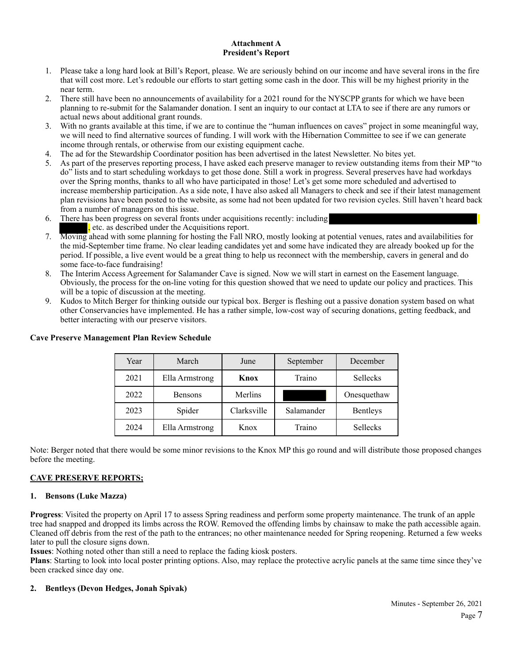### **Attachment A President's Report**

- 1. Please take a long hard look at Bill's Report, please. We are seriously behind on our income and have several irons in the fire that will cost more. Let's redouble our efforts to start getting some cash in the door. This will be my highest priority in the near term.
- 2. There still have been no announcements of availability for a 2021 round for the NYSCPP grants for which we have been planning to re-submit for the Salamander donation. I sent an inquiry to our contact at LTA to see if there are any rumors or actual news about additional grant rounds.
- 3. With no grants available at this time, if we are to continue the "human influences on caves" project in some meaningful way, we will need to find alternative sources of funding. I will work with the Hibernation Committee to see if we can generate income through rentals, or otherwise from our existing equipment cache.
- 4. The ad for the Stewardship Coordinator position has been advertised in the latest Newsletter. No bites yet.
- 5. As part of the preserves reporting process, I have asked each preserve manager to review outstanding items from their MP "to do" lists and to start scheduling workdays to get those done. Still a work in progress. Several preserves have had workdays over the Spring months, thanks to all who have participated in those! Let's get some more scheduled and advertised to increase membership participation. As a side note, I have also asked all Managers to check and see if their latest management plan revisions have been posted to the website, as some had not been updated for two revision cycles. Still haven't heard back from a number of managers on this issue.
- 6. There has been progress on several fronts under acquisitions recently: including tiec. as described under the Acquisitions report.
- 7. Moving ahead with some planning for hosting the Fall NRO, mostly looking at potential venues, rates and availabilities for the mid-September time frame. No clear leading candidates yet and some have indicated they are already booked up for the period. If possible, a live event would be a great thing to help us reconnect with the membership, cavers in general and do some face-to-face fundraising!
- 8. The Interim Access Agreement for Salamander Cave is signed. Now we will start in earnest on the Easement language. Obviously, the process for the on-line voting for this question showed that we need to update our policy and practices. This will be a topic of discussion at the meeting.
- 9. Kudos to Mitch Berger for thinking outside our typical box. Berger is fleshing out a passive donation system based on what other Conservancies have implemented. He has a rather simple, low-cost way of securing donations, getting feedback, and better interacting with our preserve visitors.

| Year | March          | June        | September  | December    |
|------|----------------|-------------|------------|-------------|
| 2021 | Ella Armstrong | Knox        | Traino     | Sellecks    |
| 2022 | <b>Bensons</b> | Merlins     |            | Onesquethaw |
| 2023 | Spider         | Clarksville | Salamander | Bentleys    |
| 2024 | Ella Armstrong | Knox        | Traino     | Sellecks    |

# **Cave Preserve Management Plan Review Schedule**

Note: Berger noted that there would be some minor revisions to the Knox MP this go round and will distribute those proposed changes before the meeting.

# **CAVE PRESERVE REPORTS;**

# **1. Bensons (Luke Mazza)**

**Progress**: Visited the property on April 17 to assess Spring readiness and perform some property maintenance. The trunk of an apple tree had snapped and dropped its limbs across the ROW. Removed the offending limbs by chainsaw to make the path accessible again. Cleaned off debris from the rest of the path to the entrances; no other maintenance needed for Spring reopening. Returned a few weeks later to pull the closure signs down.

**Issues**: Nothing noted other than still a need to replace the fading kiosk posters.

**Plans**: Starting to look into local poster printing options. Also, may replace the protective acrylic panels at the same time since they've been cracked since day one.

# **2. Bentleys (Devon Hedges, Jonah Spivak)**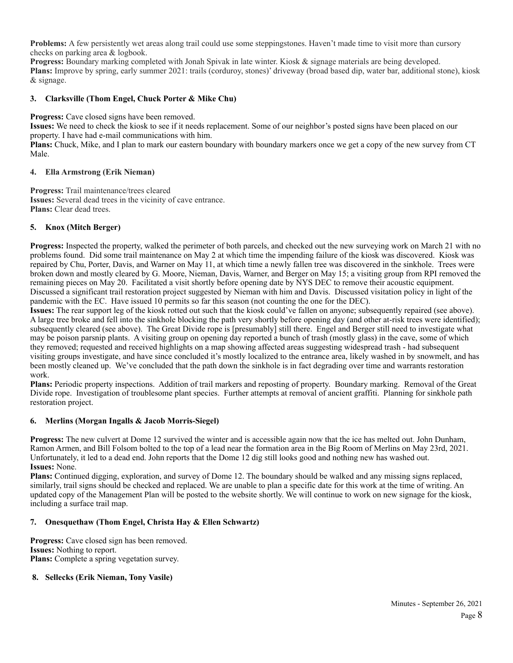**Problems:** A few persistently wet areas along trail could use some steppingstones. Haven't made time to visit more than cursory checks on parking area & logbook.

**Progress:** Boundary marking completed with Jonah Spivak in late winter. Kiosk & signage materials are being developed. **Plans:** Improve by spring, early summer 2021: trails (corduroy, stones)' driveway (broad based dip, water bar, additional stone), kiosk & signage.

# **3. Clarksville (Thom Engel, Chuck Porter & Mike Chu)**

**Progress:** Cave closed signs have been removed.

**Issues:** We need to check the kiosk to see if it needs replacement. Some of our neighbor's posted signs have been placed on our property. I have had e-mail communications with him.

**Plans:** Chuck, Mike, and I plan to mark our eastern boundary with boundary markers once we get a copy of the new survey from CT Male.

### **4. Ella Armstrong (Erik Nieman)**

**Progress:** Trail maintenance/trees cleared **Issues:** Several dead trees in the vicinity of cave entrance. **Plans:** Clear dead trees.

# **5. Knox (Mitch Berger)**

**Progress:** Inspected the property, walked the perimeter of both parcels, and checked out the new surveying work on March 21 with no problems found. Did some trail maintenance on May 2 at which time the impending failure of the kiosk was discovered. Kiosk was repaired by Chu, Porter, Davis, and Warner on May 11, at which time a newly fallen tree was discovered in the sinkhole. Trees were broken down and mostly cleared by G. Moore, Nieman, Davis, Warner, and Berger on May 15; a visiting group from RPI removed the remaining pieces on May 20. Facilitated a visit shortly before opening date by NYS DEC to remove their acoustic equipment. Discussed a significant trail restoration project suggested by Nieman with him and Davis. Discussed visitation policy in light of the pandemic with the EC. Have issued 10 permits so far this season (not counting the one for the DEC).

**Issues:** The rear support leg of the kiosk rotted out such that the kiosk could've fallen on anyone; subsequently repaired (see above). A large tree broke and fell into the sinkhole blocking the path very shortly before opening day (and other at-risk trees were identified); subsequently cleared (see above). The Great Divide rope is [presumably] still there. Engel and Berger still need to investigate what may be poison parsnip plants. A visiting group on opening day reported a bunch of trash (mostly glass) in the cave, some of which they removed; requested and received highlights on a map showing affected areas suggesting widespread trash - had subsequent visiting groups investigate, and have since concluded it's mostly localized to the entrance area, likely washed in by snowmelt, and has been mostly cleaned up. We've concluded that the path down the sinkhole is in fact degrading over time and warrants restoration work.

**Plans:** Periodic property inspections. Addition of trail markers and reposting of property. Boundary marking. Removal of the Great Divide rope. Investigation of troublesome plant species. Further attempts at removal of ancient graffiti. Planning for sinkhole path restoration project.

# **6. Merlins (Morgan Ingalls & Jacob Morris-Siegel)**

**Progress:** The new culvert at Dome 12 survived the winter and is accessible again now that the ice has melted out. John Dunham, Ramon Armen, and Bill Folsom bolted to the top of a lead near the formation area in the Big Room of Merlins on May 23rd, 2021. Unfortunately, it led to a dead end. John reports that the Dome 12 dig still looks good and nothing new has washed out. **Issues:** None.

**Plans:** Continued digging, exploration, and survey of Dome 12. The boundary should be walked and any missing signs replaced, similarly, trail signs should be checked and replaced. We are unable to plan a specific date for this work at the time of writing. An updated copy of the Management Plan will be posted to the website shortly. We will continue to work on new signage for the kiosk, including a surface trail map.

# **7. Onesquethaw (Thom Engel, Christa Hay & Ellen Schwartz)**

**Progress:** Cave closed sign has been removed. **Issues:** Nothing to report. **Plans:** Complete a spring vegetation survey.

# **8. Sellecks (Erik Nieman, Tony Vasile)**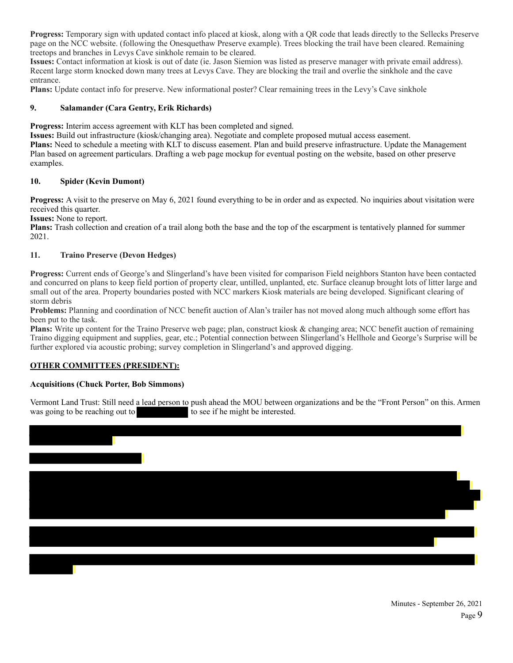**Progress:** Temporary sign with updated contact info placed at kiosk, along with a QR code that leads directly to the Sellecks Preserve page on the NCC website. (following the Onesquethaw Preserve example). Trees blocking the trail have been cleared. Remaining treetops and branches in Levys Cave sinkhole remain to be cleared.

**Issues:** Contact information at kiosk is out of date (ie. Jason Siemion was listed as preserve manager with private email address). Recent large storm knocked down many trees at Levys Cave. They are blocking the trail and overlie the sinkhole and the cave entrance.

**Plans:** Update contact info for preserve. New informational poster? Clear remaining trees in the Levy's Cave sinkhole

# **9. Salamander (Cara Gentry, Erik Richards)**

**Progress:** Interim access agreement with KLT has been completed and signed.

**Issues:** Build out infrastructure (kiosk/changing area). Negotiate and complete proposed mutual access easement. **Plans:** Need to schedule a meeting with KLT to discuss easement. Plan and build preserve infrastructure. Update the Management Plan based on agreement particulars. Drafting a web page mockup for eventual posting on the website, based on other preserve examples.

# **10. Spider (Kevin Dumont)**

**Progress:** A visit to the preserve on May 6, 2021 found everything to be in order and as expected. No inquiries about visitation were received this quarter.

**Issues:** None to report.

**Plans:** Trash collection and creation of a trail along both the base and the top of the escarpment is tentatively planned for summer 2021.

# **11. Traino Preserve (Devon Hedges)**

**Progress:** Current ends of George's and Slingerland's have been visited for comparison Field neighbors Stanton have been contacted and concurred on plans to keep field portion of property clear, untilled, unplanted, etc. Surface cleanup brought lots of litter large and small out of the area. Property boundaries posted with NCC markers Kiosk materials are being developed. Significant clearing of storm debris

**Problems:** Planning and coordination of NCC benefit auction of Alan's trailer has not moved along much although some effort has been put to the task.

**Plans:** Write up content for the Traino Preserve web page; plan, construct kiosk & changing area; NCC benefit auction of remaining Traino digging equipment and supplies, gear, etc.; Potential connection between Slingerland's Hellhole and George's Surprise will be further explored via acoustic probing; survey completion in Slingerland's and approved digging.

# **OTHER COMMITTEES (PRESIDENT):**

# **Acquisitions (Chuck Porter, Bob Simmons)**

Vermont Land Trust: Still need a lead person to push ahead the MOU between organizations and be the "Front Person" on this. Armen was going to be reaching out to  $\log$  to see if he might be interested.

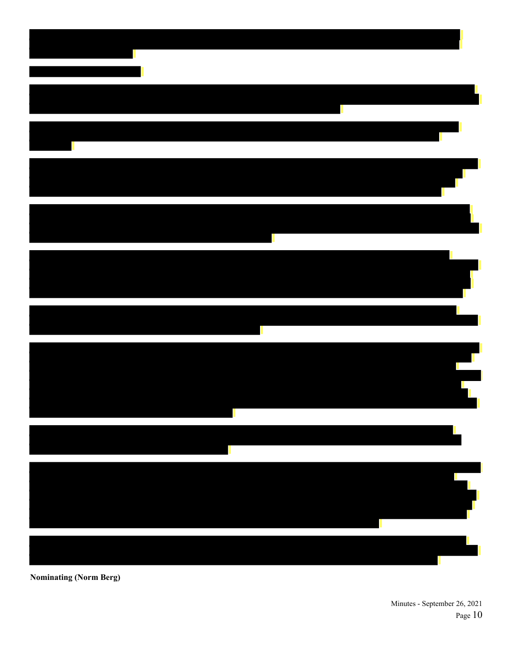

**Nominating (Norm Berg)**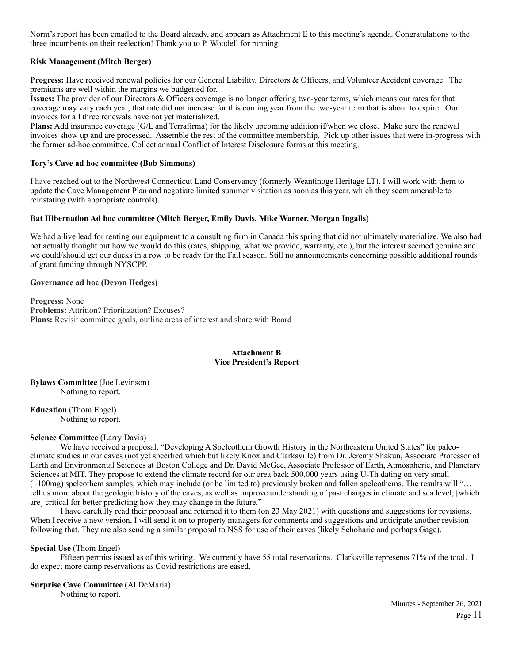Norm's report has been emailed to the Board already, and appears as Attachment E to this meeting's agenda. Congratulations to the three incumbents on their reelection! Thank you to P. Woodell for running.

# **Risk Management (Mitch Berger)**

**Progress:** Have received renewal policies for our General Liability, Directors & Officers, and Volunteer Accident coverage. The premiums are well within the margins we budgetted for.

**Issues:** The provider of our Directors & Officers coverage is no longer offering two-year terms, which means our rates for that coverage may vary each year; that rate did not increase for this coming year from the two-year term that is about to expire. Our invoices for all three renewals have not yet materialized.

**Plans:** Add insurance coverage (G/L and Terrafirma) for the likely upcoming addition if/when we close. Make sure the renewal invoices show up and are processed. Assemble the rest of the committee membership. Pick up other issues that were in-progress with the former ad-hoc committee. Collect annual Conflict of Interest Disclosure forms at this meeting.

### **Tory's Cave ad hoc committee (Bob Simmons)**

I have reached out to the Northwest Connecticut Land Conservancy (formerly Weantinoge Heritage LT). I will work with them to update the Cave Management Plan and negotiate limited summer visitation as soon as this year, which they seem amenable to reinstating (with appropriate controls).

### **Bat Hibernation Ad hoc committee (Mitch Berger, Emily Davis, Mike Warner, Morgan Ingalls)**

We had a live lead for renting our equipment to a consulting firm in Canada this spring that did not ultimately materialize. We also had not actually thought out how we would do this (rates, shipping, what we provide, warranty, etc.), but the interest seemed genuine and we could/should get our ducks in a row to be ready for the Fall season. Still no announcements concerning possible additional rounds of grant funding through NYSCPP.

### **Governance ad hoc (Devon Hedges)**

**Progress:** None **Problems:** Attrition? Prioritization? Excuses? **Plans:** Revisit committee goals, outline areas of interest and share with Board

### **Attachment B Vice President's Report**

**Bylaws Committee** (Joe Levinson) Nothing to report.

**Education** (Thom Engel) Nothing to report.

### **Science Committee** (Larry Davis)

We have received a proposal, "Developing A Speleothem Growth History in the Northeastern United States" for paleoclimate studies in our caves (not yet specified which but likely Knox and Clarksville) from Dr. Jeremy Shakun, Associate Professor of Earth and Environmental Sciences at Boston College and Dr. David McGee, Associate Professor of Earth, Atmospheric, and Planetary Sciences at MIT. They propose to extend the climate record for our area back 500,000 years using U-Th dating on very small (~100mg) speleothem samples, which may include (or be limited to) previously broken and fallen speleothems. The results will "… tell us more about the geologic history of the caves, as well as improve understanding of past changes in climate and sea level, [which are] critical for better predicting how they may change in the future."

 I have carefully read their proposal and returned it to them (on 23 May 2021) with questions and suggestions for revisions. When I receive a new version, I will send it on to property managers for comments and suggestions and anticipate another revision following that. They are also sending a similar proposal to NSS for use of their caves (likely Schoharie and perhaps Gage).

### **Special Use** (Thom Engel)

Fifteen permits issued as of this writing. We currently have 55 total reservations. Clarksville represents 71% of the total. I do expect more camp reservations as Covid restrictions are eased.

### **Surprise Cave Committee** (Al DeMaria)

Nothing to report.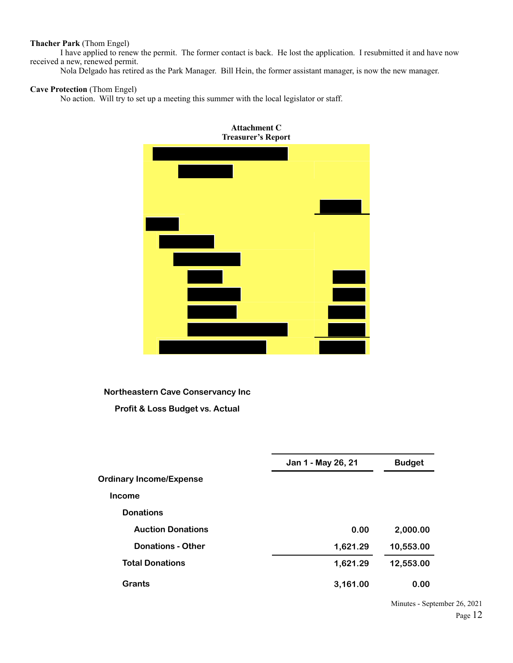# **Thacher Park** (Thom Engel)

 I have applied to renew the permit. The former contact is back. He lost the application. I resubmitted it and have now received a new, renewed permit.

Nola Delgado has retired as the Park Manager. Bill Hein, the former assistant manager, is now the new manager.

### **Cave Protection** (Thom Engel)

No action. Will try to set up a meeting this summer with the local legislator or staff.



**Northeastern Cave Conservancy Inc**

**Profit & Loss Budget vs. Actual**

|                                | Jan 1 - May 26, 21 | <b>Budget</b> |  |  |
|--------------------------------|--------------------|---------------|--|--|
| <b>Ordinary Income/Expense</b> |                    |               |  |  |
| <b>Income</b>                  |                    |               |  |  |
| <b>Donations</b>               |                    |               |  |  |
| <b>Auction Donations</b>       | 0.00               | 2,000.00      |  |  |
| <b>Donations - Other</b>       | 1,621.29           | 10,553.00     |  |  |
| <b>Total Donations</b>         | 1,621.29           | 12,553.00     |  |  |
| <b>Grants</b>                  | 3,161.00           | 0.00          |  |  |
|                                |                    |               |  |  |

Minutes - September 26, 2021 Page 12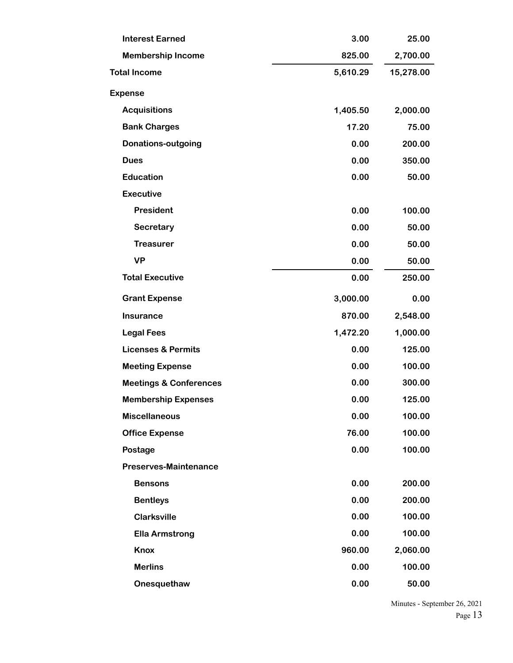| <b>Interest Earned</b><br>3.00    |                | 25.00     |
|-----------------------------------|----------------|-----------|
| <b>Membership Income</b>          | 825.00         | 2,700.00  |
| <b>Total Income</b>               | 5,610.29       | 15,278.00 |
| <b>Expense</b>                    |                |           |
| <b>Acquisitions</b>               | 1,405.50       | 2,000.00  |
| <b>Bank Charges</b>               | 17.20          | 75.00     |
| <b>Donations-outgoing</b>         | 0.00           | 200.00    |
| <b>Dues</b>                       | 0.00           | 350.00    |
| <b>Education</b>                  | 0.00           | 50.00     |
| <b>Executive</b>                  |                |           |
| <b>President</b>                  | 0.00           | 100.00    |
| Secretary                         | 0.00           | 50.00     |
| <b>Treasurer</b>                  | 0.00           | 50.00     |
| <b>VP</b>                         | 0.00           | 50.00     |
| <b>Total Executive</b>            | 0.00           | 250.00    |
| <b>Grant Expense</b>              | 3,000.00       | 0.00      |
| <b>Insurance</b>                  | 870.00         | 2,548.00  |
| <b>Legal Fees</b>                 | 1,472.20       | 1,000.00  |
| <b>Licenses &amp; Permits</b>     | 0.00           | 125.00    |
| <b>Meeting Expense</b>            | 0.00           | 100.00    |
| <b>Meetings &amp; Conferences</b> | 0.00           | 300.00    |
| <b>Membership Expenses</b>        | 0.00<br>125.00 |           |
| <b>Miscellaneous</b>              | 0.00           | 100.00    |
| <b>Office Expense</b>             | 76.00          | 100.00    |
| Postage                           | 0.00           | 100.00    |
| <b>Preserves-Maintenance</b>      |                |           |
| <b>Bensons</b>                    | 0.00           | 200.00    |
| <b>Bentleys</b>                   | 0.00           | 200.00    |
| <b>Clarksville</b>                | 0.00           | 100.00    |
| <b>Ella Armstrong</b>             | 0.00           | 100.00    |
| <b>Knox</b>                       | 960.00         | 2,060.00  |
| <b>Merlins</b>                    | 0.00           | 100.00    |
| Onesquethaw                       | 0.00           | 50.00     |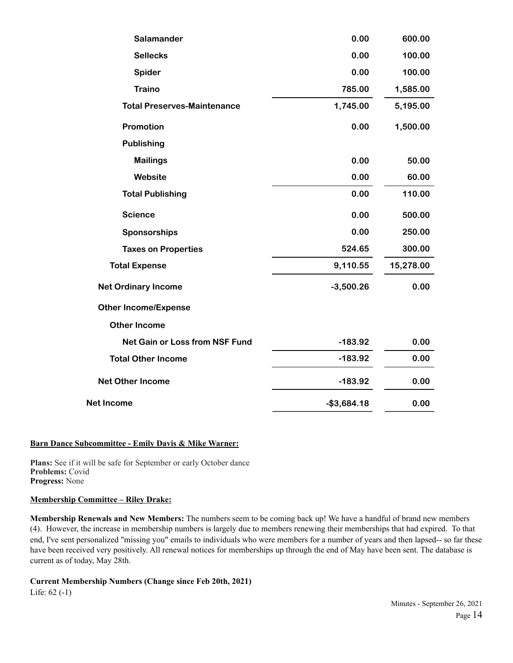| Salamander                            | 0.00         | 600.00    |
|---------------------------------------|--------------|-----------|
| <b>Sellecks</b>                       | 0.00         | 100.00    |
| Spider                                | 0.00         | 100.00    |
| <b>Traino</b>                         | 785.00       | 1,585.00  |
| <b>Total Preserves-Maintenance</b>    | 1,745.00     | 5,195.00  |
| Promotion                             | 0.00         | 1,500.00  |
| <b>Publishing</b>                     |              |           |
| <b>Mailings</b>                       | 0.00         | 50.00     |
| Website                               | 0.00         | 60.00     |
| <b>Total Publishing</b>               | 0.00         | 110.00    |
| <b>Science</b>                        | 0.00         | 500.00    |
| Sponsorships                          | 0.00         | 250.00    |
| <b>Taxes on Properties</b>            | 524.65       | 300.00    |
| <b>Total Expense</b>                  | 9,110.55     | 15,278.00 |
| <b>Net Ordinary Income</b>            | $-3,500.26$  | 0.00      |
| <b>Other Income/Expense</b>           |              |           |
| <b>Other Income</b>                   |              |           |
| <b>Net Gain or Loss from NSF Fund</b> | $-183.92$    | 0.00      |
| <b>Total Other Income</b>             | $-183.92$    | 0.00      |
| <b>Net Other Income</b>               | $-183.92$    | 0.00      |
| <b>Net Income</b>                     | $-$3,684.18$ | 0.00      |

# **Barn Dance Subcommittee - Emily Davis & Mike Warner:**

**Plans:** See if it will be safe for September or early October dance **Problems:** Covid **Progress:** None

# **Membership Committee – Riley Drake:**

**Membership Renewals and New Members:** The numbers seem to be coming back up! We have a handful of brand new members (4). However, the increase in membership numbers is largely due to members renewing their memberships that had expired. To that end, I've sent personalized "missing you" emails to individuals who were members for a number of years and then lapsed-- so far these have been received very positively. All renewal notices for memberships up through the end of May have been sent. The database is current as of today, May 28th.

# **Current Membership Numbers (Change since Feb 20th, 2021)**

Life: 62 (-1)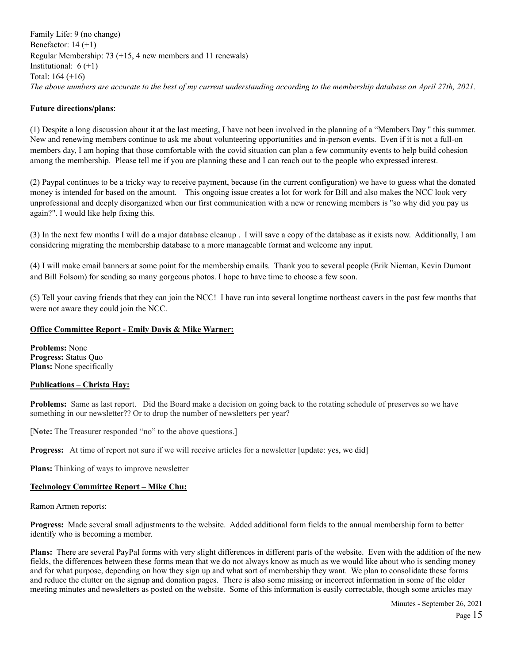Family Life: 9 (no change) Benefactor: 14 (+1) Regular Membership: 73 (+15, 4 new members and 11 renewals) Institutional:  $6 (+1)$ Total: 164 (+16) *The above numbers are accurate to the best of my current understanding according to the membership database on April 27th, 2021.*

# **Future directions/plans**:

(1) Despite a long discussion about it at the last meeting, I have not been involved in the planning of a "Members Day '' this summer. New and renewing members continue to ask me about volunteering opportunities and in-person events. Even if it is not a full-on members day, I am hoping that those comfortable with the covid situation can plan a few community events to help build cohesion among the membership. Please tell me if you are planning these and I can reach out to the people who expressed interest.

(2) Paypal continues to be a tricky way to receive payment, because (in the current configuration) we have to guess what the donated money is intended for based on the amount. This ongoing issue creates a lot for work for Bill and also makes the NCC look very unprofessional and deeply disorganized when our first communication with a new or renewing members is "so why did you pay us again?". I would like help fixing this.

(3) In the next few months I will do a major database cleanup . I will save a copy of the database as it exists now. Additionally, I am considering migrating the membership database to a more manageable format and welcome any input.

(4) I will make email banners at some point for the membership emails. Thank you to several people (Erik Nieman, Kevin Dumont and Bill Folsom) for sending so many gorgeous photos. I hope to have time to choose a few soon.

(5) Tell your caving friends that they can join the NCC! I have run into several longtime northeast cavers in the past few months that were not aware they could join the NCC.

# **Office Committee Report - Emily Davis & Mike Warner:**

**Problems:** None **Progress:** Status Quo **Plans:** None specifically

# **Publications – Christa Hay:**

**Problems:** Same as last report. Did the Board make a decision on going back to the rotating schedule of preserves so we have something in our newsletter?? Or to drop the number of newsletters per year?

[**Note:** The Treasurer responded "no" to the above questions.]

**Progress:** At time of report not sure if we will receive articles for a newsletter [update: yes, we did]

**Plans:** Thinking of ways to improve newsletter

# **Technology Committee Report – Mike Chu:**

Ramon Armen reports:

**Progress:** Made several small adjustments to the website. Added additional form fields to the annual membership form to better identify who is becoming a member.

**Plans:** There are several PayPal forms with very slight differences in different parts of the website. Even with the addition of the new fields, the differences between these forms mean that we do not always know as much as we would like about who is sending money and for what purpose, depending on how they sign up and what sort of membership they want. We plan to consolidate these forms and reduce the clutter on the signup and donation pages. There is also some missing or incorrect information in some of the older meeting minutes and newsletters as posted on the website. Some of this information is easily correctable, though some articles may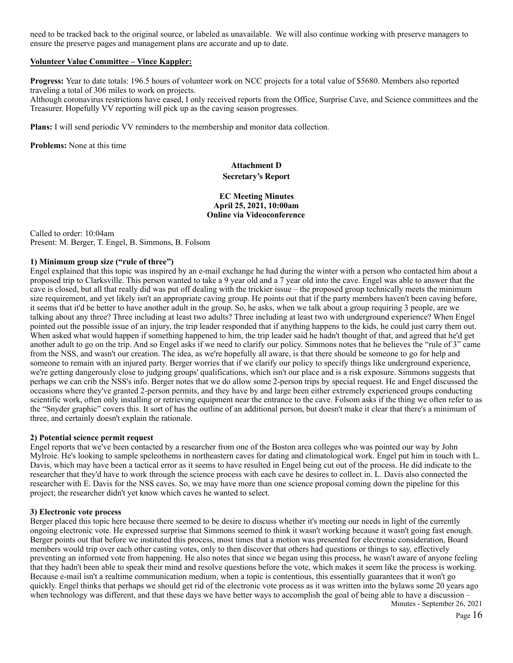need to be tracked back to the original source, or labeled as unavailable. We will also continue working with preserve managers to ensure the preserve pages and management plans are accurate and up to date.

### **Volunteer Value Committee – Vince Kappler:**

**Progress:** Year to date totals: 196.5 hours of volunteer work on NCC projects for a total value of \$5680. Members also reported traveling a total of 306 miles to work on projects.

Although coronavirus restrictions have eased, I only received reports from the Office, Surprise Cave, and Science committees and the Treasurer. Hopefully VV reporting will pick up as the caving season progresses.

**Plans:** I will send periodic VV reminders to the membership and monitor data collection.

**Problems:** None at this time

### **Attachment D Secretary's Report**

### **EC Meeting Minutes April 25, 2021, 10:00am Online via Videoconference**

Called to order: 10:04am Present: M. Berger, T. Engel, B. Simmons, B. Folsom

### **1) Minimum group size ("rule of three")**

Engel explained that this topic was inspired by an e-mail exchange he had during the winter with a person who contacted him about a proposed trip to Clarksville. This person wanted to take a 9 year old and a 7 year old into the cave. Engel was able to answer that the cave is closed, but all that really did was put off dealing with the trickier issue – the proposed group technically meets the minimum size requirement, and yet likely isn't an appropriate caving group. He points out that if the party members haven't been caving before, it seems that it'd be better to have another adult in the group. So, he asks, when we talk about a group requiring 3 people, are we talking about any three? Three including at least two adults? Three including at least two with underground experience? When Engel pointed out the possible issue of an injury, the trip leader responded that if anything happens to the kids, he could just carry them out. When asked what would happen if something happened to him, the trip leader said he hadn't thought of that, and agreed that he'd get another adult to go on the trip. And so Engel asks if we need to clarify our policy. Simmons notes that he believes the "rule of 3" came from the NSS, and wasn't our creation. The idea, as we're hopefully all aware, is that there should be someone to go for help and someone to remain with an injured party. Berger worries that if we clarify our policy to specify things like underground experience, we're getting dangerously close to judging groups' qualifications, which isn't our place and is a risk exposure. Simmons suggests that perhaps we can crib the NSS's info. Berger notes that we do allow some 2-person trips by special request. He and Engel discussed the occasions where they've granted 2-person permits, and they have by and large been either extremely experienced groups conducting scientific work, often only installing or retrieving equipment near the entrance to the cave. Folsom asks if the thing we often refer to as the "Snyder graphic" covers this. It sort of has the outline of an additional person, but doesn't make it clear that there's a minimum of three, and certainly doesn't explain the rationale.

### **2) Potential science permit request**

Engel reports that we've been contacted by a researcher from one of the Boston area colleges who was pointed our way by John Mylroie. He's looking to sample speleothems in northeastern caves for dating and climatological work. Engel put him in touch with L. Davis, which may have been a tactical error as it seems to have resulted in Engel being cut out of the process. He did indicate to the researcher that they'd have to work through the science process with each cave he desires to collect in. L. Davis also connected the researcher with E. Davis for the NSS caves. So, we may have more than one science proposal coming down the pipeline for this project; the researcher didn't yet know which caves he wanted to select.

#### **3) Electronic vote process**

Berger placed this topic here because there seemed to be desire to discuss whether it's meeting our needs in light of the currently ongoing electronic vote. He expressed surprise that Simmons seemed to think it wasn't working because it wasn't going fast enough. Berger points out that before we instituted this process, most times that a motion was presented for electronic consideration, Board members would trip over each other casting votes, only to then discover that others had questions or things to say, effectively preventing an informed vote from happening. He also notes that since we began using this process, he wasn't aware of anyone feeling that they hadn't been able to speak their mind and resolve questions before the vote, which makes it seem like the process is working. Because e-mail isn't a realtime communication medium, when a topic is contentious, this essentially guarantees that it won't go quickly. Engel thinks that perhaps we should get rid of the electronic vote process as it was written into the bylaws some 20 years ago when technology was different, and that these days we have better ways to accomplish the goal of being able to have a discussion –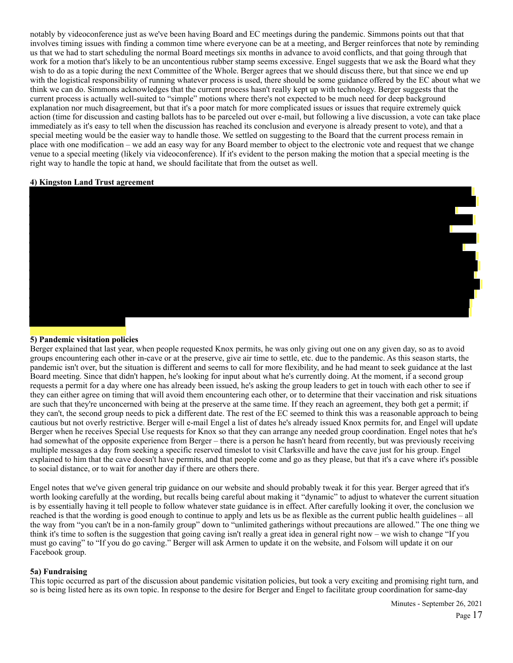notably by videoconference just as we've been having Board and EC meetings during the pandemic. Simmons points out that that involves timing issues with finding a common time where everyone can be at a meeting, and Berger reinforces that note by reminding us that we had to start scheduling the normal Board meetings six months in advance to avoid conflicts, and that going through that work for a motion that's likely to be an uncontentious rubber stamp seems excessive. Engel suggests that we ask the Board what they wish to do as a topic during the next Committee of the Whole. Berger agrees that we should discuss there, but that since we end up with the logistical responsibility of running whatever process is used, there should be some guidance offered by the EC about what we think we can do. Simmons acknowledges that the current process hasn't really kept up with technology. Berger suggests that the current process is actually well-suited to "simple" motions where there's not expected to be much need for deep background explanation nor much disagreement, but that it's a poor match for more complicated issues or issues that require extremely quick action (time for discussion and casting ballots has to be parceled out over e-mail, but following a live discussion, a vote can take place immediately as it's easy to tell when the discussion has reached its conclusion and everyone is already present to vote), and that a special meeting would be the easier way to handle those. We settled on suggesting to the Board that the current process remain in place with one modification – we add an easy way for any Board member to object to the electronic vote and request that we change venue to a special meeting (likely via videoconference). If it's evident to the person making the motion that a special meeting is the right way to handle the topic at hand, we should facilitate that from the outset as well.

#### **4) Kingston Land Trust agreement**



### **5) Pandemic visitation policies**

Berger explained that last year, when people requested Knox permits, he was only giving out one on any given day, so as to avoid groups encountering each other in-cave or at the preserve, give air time to settle, etc. due to the pandemic. As this season starts, the pandemic isn't over, but the situation is different and seems to call for more flexibility, and he had meant to seek guidance at the last Board meeting. Since that didn't happen, he's looking for input about what he's currently doing. At the moment, if a second group requests a permit for a day where one has already been issued, he's asking the group leaders to get in touch with each other to see if they can either agree on timing that will avoid them encountering each other, or to determine that their vaccination and risk situations are such that they're unconcerned with being at the preserve at the same time. If they reach an agreement, they both get a permit; if they can't, the second group needs to pick a different date. The rest of the EC seemed to think this was a reasonable approach to being cautious but not overly restrictive. Berger will e-mail Engel a list of dates he's already issued Knox permits for, and Engel will update Berger when he receives Special Use requests for Knox so that they can arrange any needed group coordination. Engel notes that he's had somewhat of the opposite experience from Berger – there is a person he hasn't heard from recently, but was previously receiving multiple messages a day from seeking a specific reserved timeslot to visit Clarksville and have the cave just for his group. Engel explained to him that the cave doesn't have permits, and that people come and go as they please, but that it's a cave where it's possible to social distance, or to wait for another day if there are others there.

Engel notes that we've given general trip guidance on our website and should probably tweak it for this year. Berger agreed that it's worth looking carefully at the wording, but recalls being careful about making it "dynamic" to adjust to whatever the current situation is by essentially having it tell people to follow whatever state guidance is in effect. After carefully looking it over, the conclusion we reached is that the wording is good enough to continue to apply and lets us be as flexible as the current public health guidelines – all the way from "you can't be in a non-family group" down to "unlimited gatherings without precautions are allowed." The one thing we think it's time to soften is the suggestion that going caving isn't really a great idea in general right now – we wish to change "If you must go caving" to "If you do go caving." Berger will ask Armen to update it on the website, and Folsom will update it on our Facebook group.

### **5a) Fundraising**

This topic occurred as part of the discussion about pandemic visitation policies, but took a very exciting and promising right turn, and so is being listed here as its own topic. In response to the desire for Berger and Engel to facilitate group coordination for same-day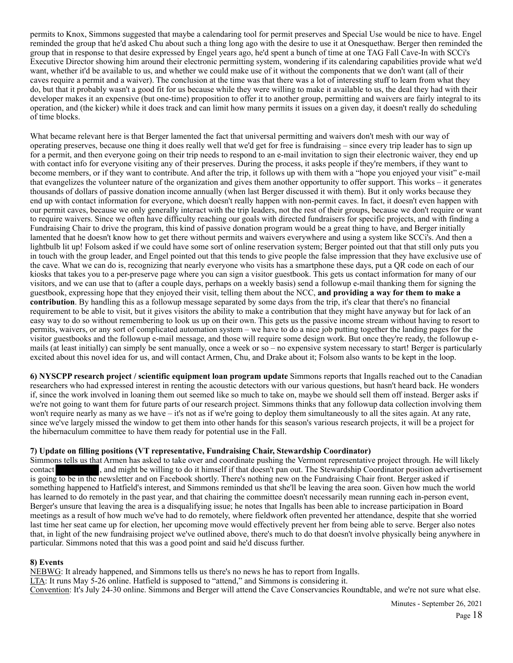permits to Knox, Simmons suggested that maybe a calendaring tool for permit preserves and Special Use would be nice to have. Engel reminded the group that he'd asked Chu about such a thing long ago with the desire to use it at Onesquethaw. Berger then reminded the group that in response to that desire expressed by Engel years ago, he'd spent a bunch of time at one TAG Fall Cave-In with SCCi's Executive Director showing him around their electronic permitting system, wondering if its calendaring capabilities provide what we'd want, whether it'd be available to us, and whether we could make use of it without the components that we don't want (all of their caves require a permit and a waiver). The conclusion at the time was that there was a lot of interesting stuff to learn from what they do, but that it probably wasn't a good fit for us because while they were willing to make it available to us, the deal they had with their developer makes it an expensive (but one-time) proposition to offer it to another group, permitting and waivers are fairly integral to its operation, and (the kicker) while it does track and can limit how many permits it issues on a given day, it doesn't really do scheduling of time blocks.

What became relevant here is that Berger lamented the fact that universal permitting and waivers don't mesh with our way of operating preserves, because one thing it does really well that we'd get for free is fundraising – since every trip leader has to sign up for a permit, and then everyone going on their trip needs to respond to an e-mail invitation to sign their electronic waiver, they end up with contact info for everyone visiting any of their preserves. During the process, it asks people if they're members, if they want to become members, or if they want to contribute. And after the trip, it follows up with them with a "hope you enjoyed your visit" e-mail that evangelizes the volunteer nature of the organization and gives them another opportunity to offer support. This works – it generates thousands of dollars of passive donation income annually (when last Berger discussed it with them). But it only works because they end up with contact information for everyone, which doesn't really happen with non-permit caves. In fact, it doesn't even happen with our permit caves, because we only generally interact with the trip leaders, not the rest of their groups, because we don't require or want to require waivers. Since we often have difficulty reaching our goals with directed fundraisers for specific projects, and with finding a Fundraising Chair to drive the program, this kind of passive donation program would be a great thing to have, and Berger initially lamented that he doesn't know how to get there without permits and waivers everywhere and using a system like SCCi's. And then a lightbulb lit up! Folsom asked if we could have some sort of online reservation system; Berger pointed out that that still only puts you in touch with the group leader, and Engel pointed out that this tends to give people the false impression that they have exclusive use of the cave. What we can do is, recognizing that nearly everyone who visits has a smartphone these days, put a QR code on each of our kiosks that takes you to a per-preserve page where you can sign a visitor guestbook. This gets us contact information for many of our visitors, and we can use that to (after a couple days, perhaps on a weekly basis) send a followup e-mail thanking them for signing the guestbook, expressing hope that they enjoyed their visit, telling them about the NCC, **and providing a way for them to make a contribution**. By handling this as a followup message separated by some days from the trip, it's clear that there's no financial requirement to be able to visit, but it gives visitors the ability to make a contribution that they might have anyway but for lack of an easy way to do so without remembering to look us up on their own. This gets us the passive income stream without having to resort to permits, waivers, or any sort of complicated automation system – we have to do a nice job putting together the landing pages for the visitor guestbooks and the followup e-mail message, and those will require some design work. But once they're ready, the followup emails (at least initially) can simply be sent manually, once a week or so – no expensive system necessary to start! Berger is particularly excited about this novel idea for us, and will contact Armen, Chu, and Drake about it; Folsom also wants to be kept in the loop.

**6) NYSCPP research project / scientific equipment loan program update** Simmons reports that Ingalls reached out to the Canadian researchers who had expressed interest in renting the acoustic detectors with our various questions, but hasn't heard back. He wonders if, since the work involved in loaning them out seemed like so much to take on, maybe we should sell them off instead. Berger asks if we're not going to want them for future parts of our research project. Simmons thinks that any followup data collection involving them won't require nearly as many as we have – it's not as if we're going to deploy them simultaneously to all the sites again. At any rate, since we've largely missed the window to get them into other hands for this season's various research projects, it will be a project for the hibernaculum committee to have them ready for potential use in the Fall.

# **7) Update on filling positions (VT representative, Fundraising Chair, Stewardship Coordinator)**

Simmons tells us that Armen has asked to take over and coordinate pushing the Vermont representative project through. He will likely contact , and might be willing to do it himself if that doesn't pan out. The Stewardship Coordinator position advertisement is going to be in the newsletter and on Facebook shortly. There's nothing new on the Fundraising Chair front. Berger asked if something happened to Hatfield's interest, and Simmons reminded us that she'll be leaving the area soon. Given how much the world has learned to do remotely in the past year, and that chairing the committee doesn't necessarily mean running each in-person event, Berger's unsure that leaving the area is a disqualifying issue; he notes that Ingalls has been able to increase participation in Board meetings as a result of how much we've had to do remotely, where fieldwork often prevented her attendance, despite that she worried last time her seat came up for election, her upcoming move would effectively prevent her from being able to serve. Berger also notes that, in light of the new fundraising project we've outlined above, there's much to do that doesn't involve physically being anywhere in particular. Simmons noted that this was a good point and said he'd discuss further.

### **8) Events**

NEBWG: It already happened, and Simmons tells us there's no news he has to report from Ingalls. LTA: It runs May 5-26 online. Hatfield is supposed to "attend," and Simmons is considering it. Convention: It's July 24-30 online. Simmons and Berger will attend the Cave Conservancies Roundtable, and we're not sure what else.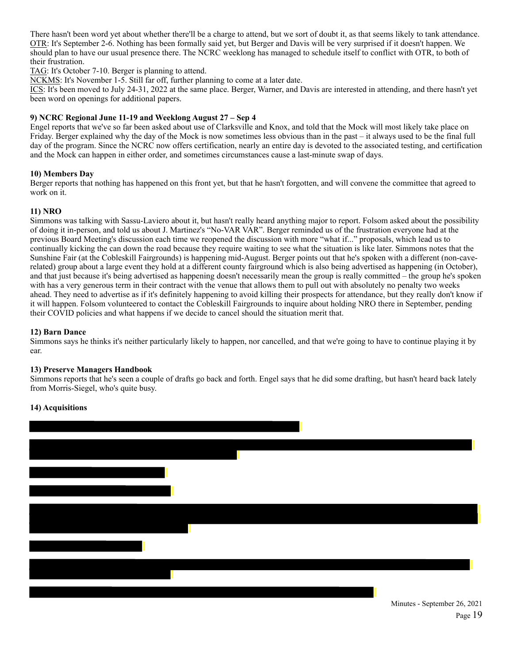There hasn't been word yet about whether there'll be a charge to attend, but we sort of doubt it, as that seems likely to tank attendance. OTR: It's September 2-6. Nothing has been formally said yet, but Berger and Davis will be very surprised if it doesn't happen. We should plan to have our usual presence there. The NCRC weeklong has managed to schedule itself to conflict with OTR, to both of their frustration.

TAG: It's October 7-10. Berger is planning to attend.

NCKMS: It's November 1-5. Still far off, further planning to come at a later date.

ICS: It's been moved to July 24-31, 2022 at the same place. Berger, Warner, and Davis are interested in attending, and there hasn't yet been word on openings for additional papers.

# **9) NCRC Regional June 11-19 and Weeklong August 27 – Sep 4**

Engel reports that we've so far been asked about use of Clarksville and Knox, and told that the Mock will most likely take place on Friday. Berger explained why the day of the Mock is now sometimes less obvious than in the past – it always used to be the final full day of the program. Since the NCRC now offers certification, nearly an entire day is devoted to the associated testing, and certification and the Mock can happen in either order, and sometimes circumstances cause a last-minute swap of days.

# **10) Members Day**

Berger reports that nothing has happened on this front yet, but that he hasn't forgotten, and will convene the committee that agreed to work on it.

# **11) NRO**

Simmons was talking with Sassu-Laviero about it, but hasn't really heard anything major to report. Folsom asked about the possibility of doing it in-person, and told us about J. Martinez's "No-VAR VAR". Berger reminded us of the frustration everyone had at the previous Board Meeting's discussion each time we reopened the discussion with more "what if..." proposals, which lead us to continually kicking the can down the road because they require waiting to see what the situation is like later. Simmons notes that the Sunshine Fair (at the Cobleskill Fairgrounds) is happening mid-August. Berger points out that he's spoken with a different (non-caverelated) group about a large event they hold at a different county fairground which is also being advertised as happening (in October), and that just because it's being advertised as happening doesn't necessarily mean the group is really committed – the group he's spoken with has a very generous term in their contract with the venue that allows them to pull out with absolutely no penalty two weeks ahead. They need to advertise as if it's definitely happening to avoid killing their prospects for attendance, but they really don't know if it will happen. Folsom volunteered to contact the Cobleskill Fairgrounds to inquire about holding NRO there in September, pending their COVID policies and what happens if we decide to cancel should the situation merit that.

# **12) Barn Dance**

Simmons says he thinks it's neither particularly likely to happen, nor cancelled, and that we're going to have to continue playing it by ear.

# **13) Preserve Managers Handbook**

Simmons reports that he's seen a couple of drafts go back and forth. Engel says that he did some drafting, but hasn't heard back lately from Morris-Siegel, who's quite busy.

# **14) Acquisitions**

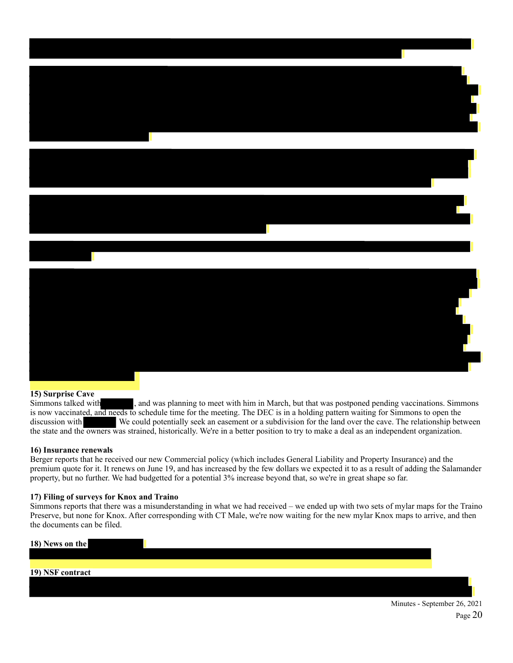

# **15) Surprise Cave**

Simmons talked with , and was planning to meet with him in March, but that was postponed pending vaccinations. Simmons is now vaccinated, and needs to schedule time for the meeting. The DEC is in a holding pattern waiting for Simmons to open the discussion with We could potentially seek an easement or a subdivision for the land over the cave. The relationship between the state and the owners was strained, historically. We're in a better position to try to make a deal as an independent organization.

# **16) Insurance renewals**

Berger reports that he received our new Commercial policy (which includes General Liability and Property Insurance) and the premium quote for it. It renews on June 19, and has increased by the few dollars we expected it to as a result of adding the Salamander property, but no further. We had budgetted for a potential 3% increase beyond that, so we're in great shape so far.

### **17) Filing of surveys for Knox and Traino**

Simmons reports that there was a misunderstanding in what we had received – we ended up with two sets of mylar maps for the Traino Preserve, but none for Knox. After corresponding with CT Male, we're now waiting for the new mylar Knox maps to arrive, and then the documents can be filed.

| 18) News on the  |  |
|------------------|--|
|                  |  |
|                  |  |
| 19) NSF contract |  |
|                  |  |
|                  |  |